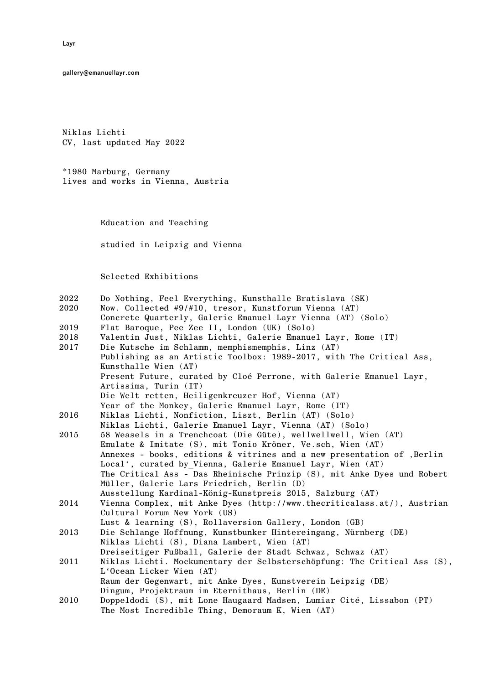gallery@emanuellayr.com

Niklas Lichti CV, last updated May 2022

\*1980 Marburg, Germany lives and works in Vienna, Austria

Education and Teaching

studied in Leipzig and Vienna

Selected Exhibitions

| $2022\,$ |  |  |  | Do Nothing, Feel Everything, Kunsthalle Bratislava (SK) |  |  |  |
|----------|--|--|--|---------------------------------------------------------|--|--|--|
|----------|--|--|--|---------------------------------------------------------|--|--|--|

- 2020 Now. Collected #9/#10, tresor, Kunstforum Vienna (AT)
- Concrete Quarterly, Galerie Emanuel Layr Vienna (AT) (Solo)
- 2019 Flat Baroque, Pee Zee II, London (UK) (Solo)
- 2018 Valentin Just, Niklas Lichti, Galerie Emanuel Layr, Rome (IT)
- 2017 Die Kutsche im Schlamm, memphismemphis, Linz (AT) Publishing as an Artistic Toolbox: 1989-2017, with The Critical Ass, Kunsthalle Wien (AT) Present Future, curated by Cloé Perrone, with Galerie Emanuel Layr,

Artissima, Turin (IT)

Die Welt retten, Heiligenkreuzer Hof, Vienna (AT)

- Year of the Monkey, Galerie Emanuel Layr, Rome (IT)
- 2016 Niklas Lichti, Nonfiction, Liszt, Berlin (AT) (Solo) Niklas Lichti, Galerie Emanuel Layr, Vienna (AT) (Solo)
- 2015 58 Weasels in a Trenchcoat (Die Güte), wellwellwell, Wien (AT) Emulate & Imitate (S), mit Tonio Kröner, Ve.sch, Wien (AT) Annexes - books, editions & vitrines and a new presentation of , Berlin Local', curated by\_Vienna, Galerie Emanuel Layr, Wien (AT) The Critical Ass - Das Rheinische Prinzip (S), mit Anke Dyes und Robert Müller, Galerie Lars Friedrich, Berlin (D) Ausstellung Kardinal-König-Kunstpreis 2015, Salzburg (AT)
- 2014 Vienna Complex, mit Anke Dyes (http://www.thecriticalass.at/), Austrian Cultural Forum New York (US)
	- Lust & learning (S), Rollaversion Gallery, London (GB)
- 2013 Die Schlange Hoffnung, Kunstbunker Hintereingang, Nürnberg (DE) Niklas Lichti (S), Diana Lambert, Wien (AT)
- Dreiseitiger Fußball, Galerie der Stadt Schwaz, Schwaz (AT)
- 2011 Niklas Lichti. Mockumentary der Selbsterschöpfung: The Critical Ass (S), L'Ocean Licker Wien (AT) Raum der Gegenwart, mit Anke Dyes, Kunstverein Leipzig (DE)

Dingum, Projektraum im Eternithaus, Berlin (DE)

2010 Doppeldodi (S), mit Lone Haugaard Madsen, Lumiar Cité, Lissabon (PT) The Most Incredible Thing, Demoraum K, Wien (AT)

Layr